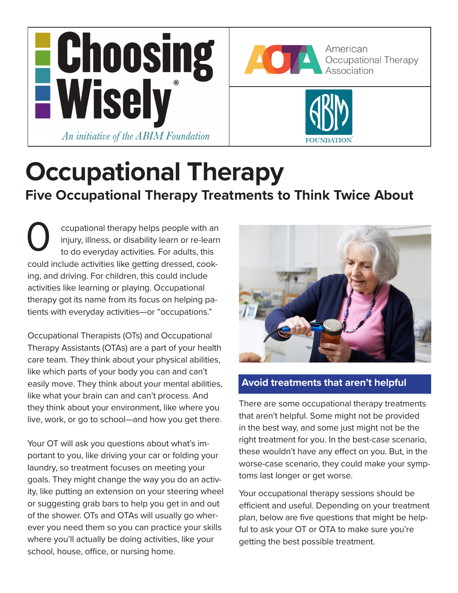



American Occupational Therapy Association



# **Occupational Therapy Five Occupational Therapy Treatments to Think Twice About**

ccupational therapy helps people with an injury, illness, or disability learn or re-learn to do everyday activities. For adults, this could include activities like getting dressed, cooking, and driving. For children, this could include activities like learning or playing. Occupational therapy got its name from its focus on helping patients with everyday activities—or "occupations." O

Occupational Therapists (OTs) and Occupational Therapy Assistants (OTAs) are a part of your health care team. They think about your physical abilities, like which parts of your body you can and can't easily move. They think about your mental abilities, like what your brain can and can't process. And they think about your environment, like where you live, work, or go to school—and how you get there.

Your OT will ask you questions about what's important to you, like driving your car or folding your laundry, so treatment focuses on meeting your goals. They might change the way you do an activity, like putting an extension on your steering wheel or suggesting grab bars to help you get in and out of the shower. OTs and OTAs will usually go wherever you need them so you can practice your skills where you'll actually be doing activities, like your school, house, office, or nursing home.



## **Avoid treatments that aren't helpful**

There are some occupational therapy treatments that aren't helpful. Some might not be provided in the best way, and some just might not be the right treatment for you. In the best-case scenario, these wouldn't have any effect on you. But, in the worse-case scenario, they could make your symptoms last longer or get worse.

Your occupational therapy sessions should be efficient and useful. Depending on your treatment plan, below are five questions that might be helpful to ask your OT or OTA to make sure you're getting the best possible treatment.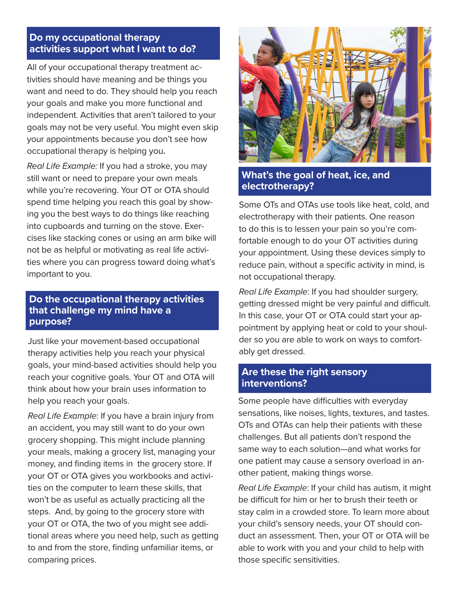## **Do my occupational therapy activities support what I want to do?**

All of your occupational therapy treatment activities should have meaning and be things you want and need to do. They should help you reach your goals and make you more functional and independent. Activities that aren't tailored to your goals may not be very useful. You might even skip your appointments because you don't see how occupational therapy is helping you**.**

*Real Life Example:* If you had a stroke, you may still want or need to prepare your own meals while you're recovering. Your OT or OTA should spend time helping you reach this goal by showing you the best ways to do things like reaching into cupboards and turning on the stove. Exercises like stacking cones or using an arm bike will not be as helpful or motivating as real life activities where you can progress toward doing what's important to you.

### *<u>Multicand</u>* **Do the occupational therapy activities that challenge my mind have a purpose?**

Just like your movement-based occupational therapy activities help you reach your physical goals, your mind-based activities should help you reach your cognitive goals. Your OT and OTA will think about how your brain uses information to help you reach your goals.

*Real Life Example*: If you have a brain injury from an accident, you may still want to do your own grocery shopping. This might include planning your meals, making a grocery list, managing your money, and finding items in the grocery store. If your OT or OTA gives you workbooks and activities on the computer to learn these skills, that won't be as useful as actually practicing all the steps. And, by going to the grocery store with your OT or OTA, the two of you might see additional areas where you need help, such as getting to and from the store, finding unfamiliar items, or comparing prices.



## **What's the goal of heat, ice, and electrotherapy?**

Some OTs and OTAs use tools like heat, cold, and electrotherapy with their patients. One reason to do this is to lessen your pain so you're comfortable enough to do your OT activities during your appointment. Using these devices simply to reduce pain, without a specific activity in mind, is not occupational therapy.

*Real Life Example*: If you had shoulder surgery, getting dressed might be very painful and difficult. In this case, your OT or OTA could start your appointment by applying heat or cold to your shoulder so you are able to work on ways to comfortably get dressed.

## **Are these the right sensory interventions?**

Some people have difficulties with everyday sensations, like noises, lights, textures, and tastes. OTs and OTAs can help their patients with these challenges. But all patients don't respond the same way to each solution—and what works for one patient may cause a sensory overload in another patient, making things worse.

*Real Life Example*: If your child has autism, it might be difficult for him or her to brush their teeth or stay calm in a crowded store. To learn more about your child's sensory needs, your OT should conduct an assessment. Then, your OT or OTA will be able to work with you and your child to help with those specific sensitivities.